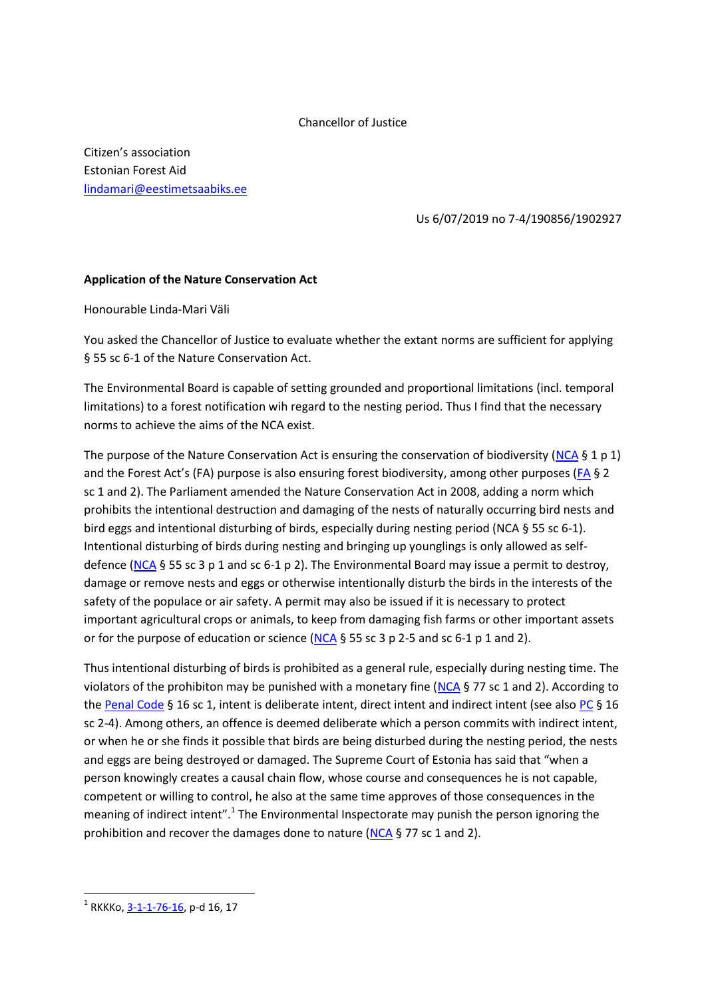## Chancellor of Justice

Citizen's association Estonian Forest Aid [lindamari@eestimetsaabiks.ee](mailto:lindamari@eestimetsaabiks.ee)

Us 6/07/2019 no 7-4/190856/1902927

## **Application of the Nature Conservation Act**

Honourable Linda-Mari Väli

You asked the Chancellor of Justice to evaluate whether the extant norms are sufficient for applying § 55 sc 6-1 of the Nature Conservation Act.

The Environmental Board is capable of setting grounded and proportional limitations (incl. temporal limitations) to a forest notification wih regard to the nesting period. Thus I find that the necessary norms to achieve the aims of the NCA exist.

The purpose of the Nature Conservation Act is ensuring the conservation of biodiversity [\(NCA](https://www.riigiteataja.ee/en/eli/515112018002/consolide) § 1 p 1) and the Forest Act's [\(FA](https://www.riigiteataja.ee/en/eli/521032019004/consolide)) purpose is also ensuring forest biodiversity, among other purposes (FA § 2 sc 1 and 2). The Parliament amended the Nature Conservation Act in 2008, adding a norm which prohibits the intentional destruction and damaging of the nests of naturally occurring bird nests and bird eggs and intentional disturbing of birds, especially during nesting period (NCA § 55 sc 6-1). Intentional disturbing of birds during nesting and bringing up younglings is only allowed as selfdefence [\(NCA](https://www.riigiteataja.ee/en/eli/515112018002/consolide) § 55 sc 3 p 1 and sc 6-1 p 2). The Environmental Board may issue a permit to destroy, damage or remove nests and eggs or otherwise intentionally disturb the birds in the interests of the safety of the populace or air safety. A permit may also be issued if it is necessary to protect important agricultural crops or animals, to keep from damaging fish farms or other important assets or for the purpose of education or science [\(NCA](https://www.riigiteataja.ee/en/eli/515112018002/consolide)  $\S$  55 sc 3 p 2-5 and sc 6-1 p 1 and 2).

Thus intentional disturbing of birds is prohibited as a general rule, especially during nesting time. The violators of the prohibiton may be punished with a monetary fine [\(NCA](https://www.riigiteataja.ee/en/eli/515112018002/consolide) § 77 sc 1 and 2). According to the [Penal Code](https://www.riigiteataja.ee/en/eli/501042019020/consolide) § 16 sc 1, intent is deliberate intent, direct intent and indirect intent (see als[o PC](https://www.riigiteataja.ee/en/eli/501042019020/consolide) § 16 sc 2-4). Among others, an offence is deemed deliberate which a person commits with indirect intent, or when he or she finds it possible that birds are being disturbed during the nesting period, the nests and eggs are being destroyed or damaged. The Supreme Court of Estonia has said that "when a person knowingly creates a causal chain flow, whose course and consequences he is not capable, competent or willing to control, he also at the same time approves of those consequences in the meaning of indirect intent".<sup>1</sup> The Environmental Inspectorate may punish the person ignoring the prohibition and recover the damages done to nature [\(NCA](https://www.riigiteataja.ee/en/eli/515112018002/consolide) § 77 sc 1 and 2).

**.** 

<sup>&</sup>lt;sup>1</sup> RKKKo, <u>3-1-1-76-16</u>, p-d 16, 17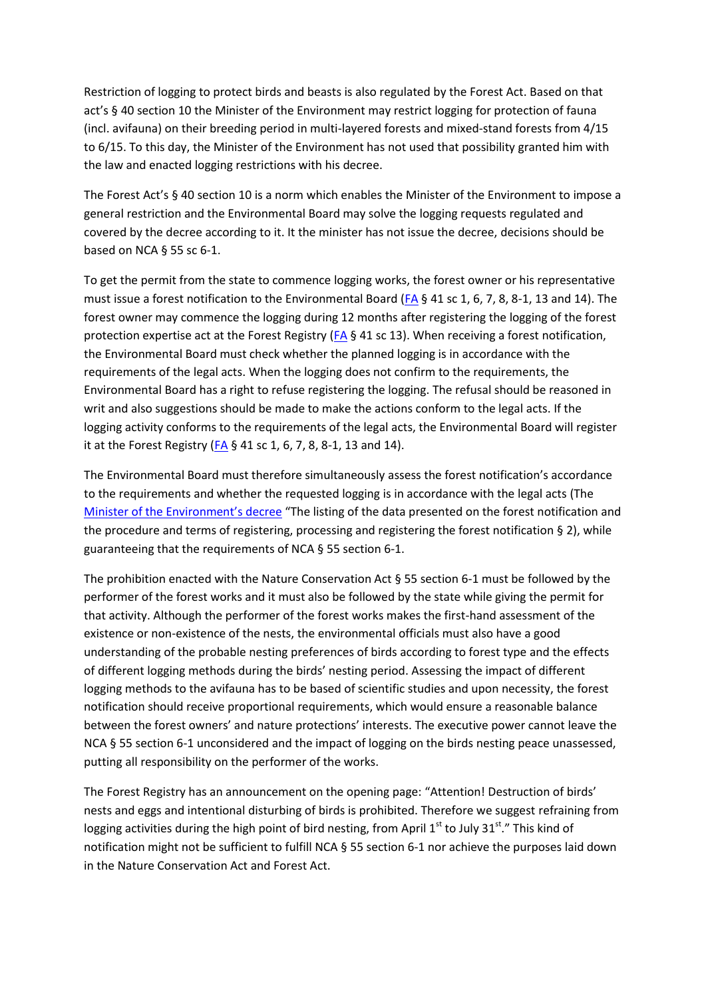Restriction of logging to protect birds and beasts is also regulated by the Forest Act. Based on that act's § 40 section 10 the Minister of the Environment may restrict logging for protection of fauna (incl. avifauna) on their breeding period in multi-layered forests and mixed-stand forests from 4/15 to 6/15. To this day, the Minister of the Environment has not used that possibility granted him with the law and enacted logging restrictions with his decree.

The Forest Act's § 40 section 10 is a norm which enables the Minister of the Environment to impose a general restriction and the Environmental Board may solve the logging requests regulated and covered by the decree according to it. It the minister has not issue the decree, decisions should be based on NCA § 55 sc 6-1.

To get the permit from the state to commence logging works, the forest owner or his representative must issue a forest notification to the Environmental Board [\(FA](https://www.riigiteataja.ee/en/eli/521032019004/consolide)  $\S$  41 sc 1, 6, 7, 8, 8-1, 13 and 14). The forest owner may commence the logging during 12 months after registering the logging of the forest protection expertise act at the Forest Registry [\(FA](https://www.riigiteataja.ee/en/eli/521032019004/consolide) § 41 sc 13). When receiving a forest notification, the Environmental Board must check whether the planned logging is in accordance with the requirements of the legal acts. When the logging does not confirm to the requirements, the Environmental Board has a right to refuse registering the logging. The refusal should be reasoned in writ and also suggestions should be made to make the actions conform to the legal acts. If the logging activity conforms to the requirements of the legal acts, the Environmental Board will register it at the Forest Registry [\(FA](https://www.riigiteataja.ee/en/eli/521032019004/consolide) § 41 sc 1, 6, 7, 8, 8-1, 13 and 14).

The Environmental Board must therefore simultaneously assess the forest notification's accordance to the requirements and whether the requested logging is in accordance with the legal acts (The Minister [of the Environment's decree](https://www.riigiteataja.ee/akt/115082017009) "The listing of the data presented on the forest notification and the procedure and terms of registering, processing and registering the forest notification § 2), while guaranteeing that the requirements of NCA § 55 section 6-1.

The prohibition enacted with the Nature Conservation Act § 55 section 6-1 must be followed by the performer of the forest works and it must also be followed by the state while giving the permit for that activity. Although the performer of the forest works makes the first-hand assessment of the existence or non-existence of the nests, the environmental officials must also have a good understanding of the probable nesting preferences of birds according to forest type and the effects of different logging methods during the birds' nesting period. Assessing the impact of different logging methods to the avifauna has to be based of scientific studies and upon necessity, the forest notification should receive proportional requirements, which would ensure a reasonable balance between the forest owners' and nature protections' interests. The executive power cannot leave the NCA § 55 section 6-1 unconsidered and the impact of logging on the birds nesting peace unassessed, putting all responsibility on the performer of the works.

The Forest Registry has an announcement on the opening page: "Attention! Destruction of birds' nests and eggs and intentional disturbing of birds is prohibited. Therefore we suggest refraining from logging activities during the high point of bird nesting, from April 1<sup>st</sup> to July 31<sup>st</sup>." This kind of notification might not be sufficient to fulfill NCA § 55 section 6-1 nor achieve the purposes laid down in the Nature Conservation Act and Forest Act.